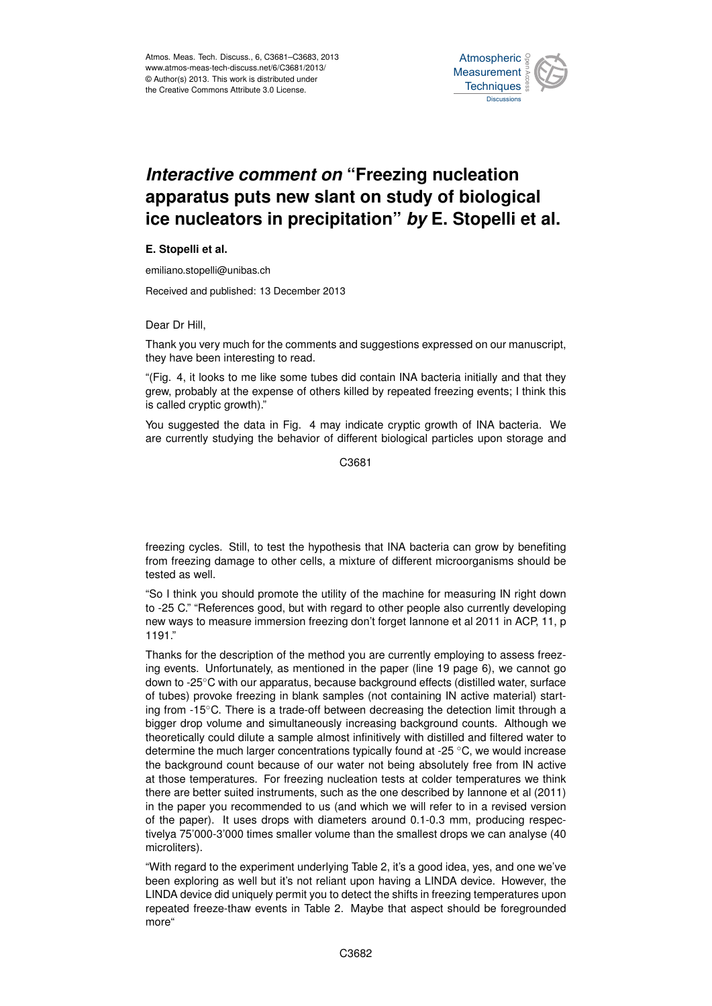

## Interactive comment on "Freezing nucleation ow clant on study of hiologic ،<br>آ  $\ddot{\cdot}$ apparatus puts new slant on study of biological Earth System Open Access  $\overline{\phantom{a}}$ ice nucleators in precipitation" *by* E. Stopelli et al.

## **E. Stopelli et al.**

emiliano.stopelli@unibas.ch

Received and published: 13 December 2013  $\overline{\phantom{a}}$ 

Dear Dr Hill,

Thank you very much for the comments and suggestions expressed on our manuscript, they have been interesting to read. n<br>D n<br>.

"(Fig. 4, it looks to me like some tubes did contain INA bacteria initially and that they grew, probably at the expense of others killed by repeated freezing events; I think this م<br>ir on<br>er is called cryptic growth)."

You suggested the data in Fig. 4 may indicate cryptic growth of INA bacteria. We are currently studying the behavior of different biological particles upon storage and

> Ocean Science  $\tilde{c}$ C3681

nı<br>, n<br>ir freezing cycles. Still, to test the hypothesis that INA bacteria can grow by benefiting from freezing damage to other cells, a mixture of different microorganisms should be tested as well.

"So I think you should promote the utility of the machine for measuring IN right down to -25 C." "References good, but with regard to other people also currently developing new ways to measure immersion freezing don't forget Iannone et al 2011 in ACP, 11, p 1191."

Thanks for the description of the method you are currently employing to assess freezing events. Unfortunately, as mentioned in the paper (line 19 page 6), we cannot go down to -25◦C with our apparatus, because background effects (distilled water, surface of tubes) provoke freezing in blank samples (not containing IN active material) starting from -15◦C. There is a trade-off between decreasing the detection limit through a bigger drop volume and simultaneously increasing background counts. Although we theoretically could dilute a sample almost infinitively with distilled and filtered water to determine the much larger concentrations typically found at -25 ◦C, we would increase the background count because of our water not being absolutely free from IN active at those temperatures. For freezing nucleation tests at colder temperatures we think there are better suited instruments, such as the one described by Iannone et al (2011) in the paper you recommended to us (and which we will refer to in a revised version of the paper). It uses drops with diameters around 0.1-0.3 mm, producing respectivelya 75'000-3'000 times smaller volume than the smallest drops we can analyse (40 microliters).

"With regard to the experiment underlying Table 2, it's a good idea, yes, and one we've been exploring as well but it's not reliant upon having a LINDA device. However, the LINDA device did uniquely permit you to detect the shifts in freezing temperatures upon repeated freeze-thaw events in Table 2. Maybe that aspect should be foregrounded more"